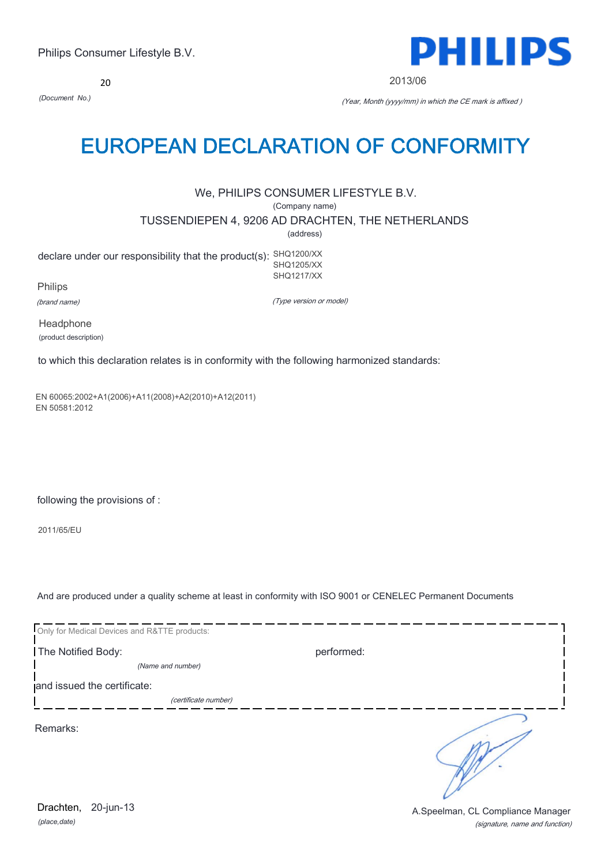20



2013/06

*(Document No.)* (Year, Month (yyyy/mm) in which the CE mark is affixed )

# EUROPEAN DECLARATION OF CONFORMITY

We, PHILIPS CONSUMER LIFESTYLE B.V.

(Company name)

TUSSENDIEPEN 4, 9206 AD DRACHTEN, THE NETHERLANDS

(address)

declare under our responsibility that the product(s): SHQ1200/XX SHQ1205/XX SHQ1217/XX

Philips

(brand name)

(Type version or model)

Headphone (product description)

to which this declaration relates is in conformity with the following harmonized standards:

EN 60065:2002+A1(2006)+A11(2008)+A2(2010)+A12(2011) EN 50581:2012

following the provisions of :

2011/65/EU

And are produced under a quality scheme at least in conformity with ISO 9001 or CENELEC Permanent Documents

| Only for Medical Devices and R&TTE products: |            |
|----------------------------------------------|------------|
| The Notified Body:                           | performed: |
| (Name and number)                            |            |
| and issued the certificate:                  |            |
| (certificate number)                         |            |
| Remarks:                                     |            |

*(place,date)* 20-jun-13

(signature, name and function) Drachten, 20-jun-13 **Drachten**, 20-jun-13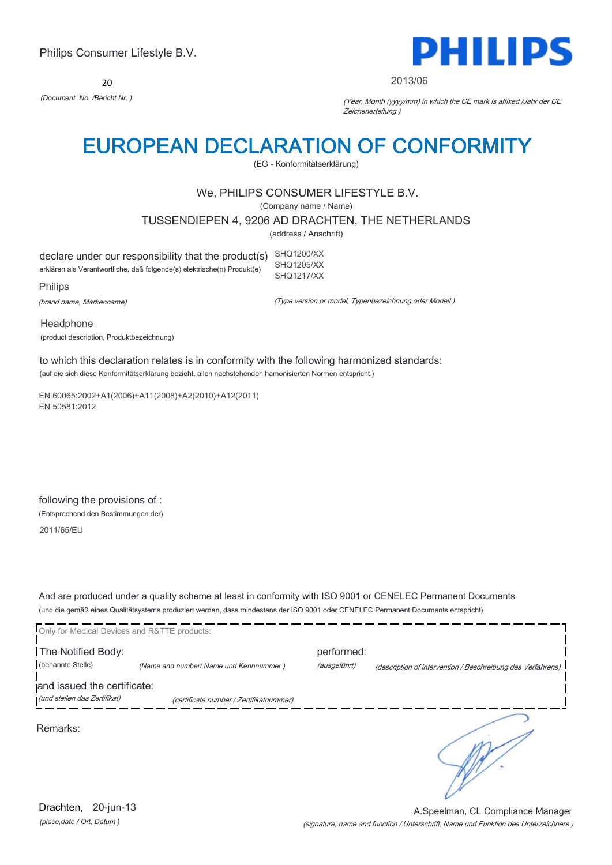20



#### 2013/06

*(Document No. /Bericht Nr. )* (Year, Month (yyyy/mm) in which the CE mark is affixed /Jahr der CE Zeichenerteilung )

# EUROPEAN DECLARATION OF CONFORMITY

(EG - Konformitätserklärung)

## We, PHILIPS CONSUMER LIFESTYLE B.V.

(Company name / Name)

TUSSENDIEPEN 4, 9206 AD DRACHTEN, THE NETHERLANDS

(address / Anschrift)

declare under our responsibility that the product(s) SHQ1200/XX erklären als Verantwortliche, daß folgende(s) elektrische(n) Produkt(e) SHQ1205/XX SHQ1217/XX

Philips

(brand name, Markenname)

(Type version or model, Typenbezeichnung oder Modell )

Headphone (product description, Produktbezeichnung)

to which this declaration relates is in conformity with the following harmonized standards: (auf die sich diese Konformitätserklärung bezieht, allen nachstehenden hamonisierten Normen entspricht.)

EN 60065:2002+A1(2006)+A11(2008)+A2(2010)+A12(2011) EN 50581:2012

following the provisions of : (Entsprechend den Bestimmungen der)

2011/65/EU

And are produced under a quality scheme at least in conformity with ISO 9001 or CENELEC Permanent Documents (und die gemäß eines Qualitätsystems produziert werden, dass mindestens der ISO 9001 oder CENELEC Permanent Documents entspricht)

| Only for Medical Devices and R&TTE products:                |                                         |                            |                                                             |
|-------------------------------------------------------------|-----------------------------------------|----------------------------|-------------------------------------------------------------|
| The Notified Body:<br>(benannte Stelle)                     | (Name and number/ Name und Kennnummer)  | performed:<br>(ausgeführt) | (description of intervention / Beschreibung des Verfahrens) |
| and issued the certificate:<br>(und stellen das Zertifikat) | (certificate number / Zertifikatnummer) |                            |                                                             |
| Remarks:                                                    |                                         |                            |                                                             |

(signature, name and function / Unterschrift, Name und Funktion des Unterzeichners ) A.Speelman, CL Compliance Manager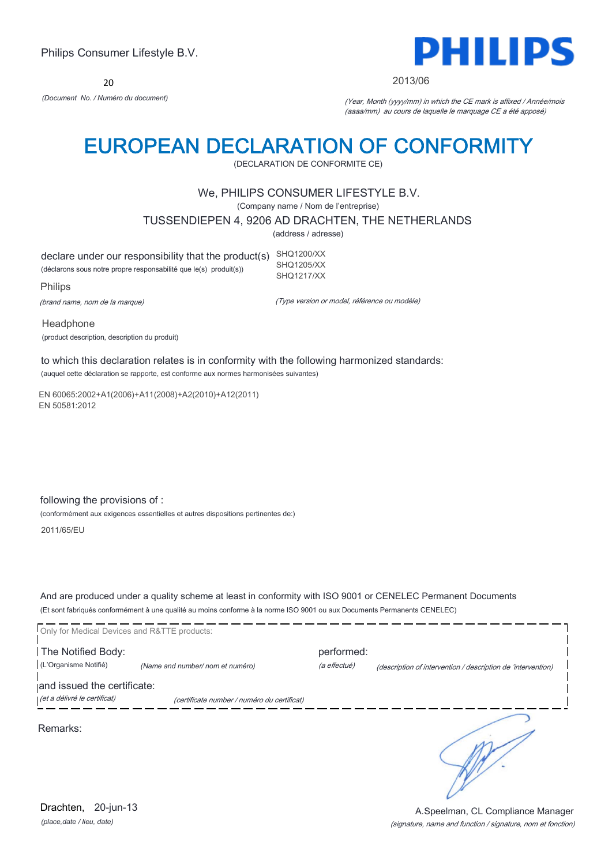20



2013/06

*(Document No. / Numéro du document)* (Year, Month (yyyy/mm) in which the CE mark is affixed / Année/mois (aaaa/mm) au cours de laquelle le marquage CE a été apposé)

# EUROPEAN DECLARATION OF CONFORMITY

(DECLARATION DE CONFORMITE CE)

### We, PHILIPS CONSUMER LIFESTYLE B.V.

(Company name / Nom de l'entreprise)

TUSSENDIEPEN 4, 9206 AD DRACHTEN, THE NETHERLANDS

(address / adresse)

declare under our responsibility that the product(s) SHQ1200/XX (déclarons sous notre propre responsabilité que le(s) produit(s)) SHQ1205/XX SHQ1217/XX

Philips

(brand name, nom de la marque)

(Type version or model, référence ou modèle)

Headphone (product description, description du produit)

to which this declaration relates is in conformity with the following harmonized standards: (auquel cette déclaration se rapporte, est conforme aux normes harmonisées suivantes)

EN 60065:2002+A1(2006)+A11(2008)+A2(2010)+A12(2011) EN 50581:2012

following the provisions of :

(conformément aux exigences essentielles et autres dispositions pertinentes de:)

2011/65/EU

And are produced under a quality scheme at least in conformity with ISO 9001 or CENELEC Permanent Documents (Et sont fabriqués conformément à une qualité au moins conforme à la norme ISO 9001 ou aux Documents Permanents CENELEC)

Only for Medical Devices and R&TTE products: The Notified Body: performed: (L'Organisme Notifié) *(Name and number/ nom et numéro)* (a effectué) (description of intervention / description de 'intervention) and issued the certificate: (et a délivré le certificat) (certificate number / numéro du certificat) ٦ Remarks:

*(place,date / lieu, date)* Drachten, 20-jun-13

#### (signature, name and function / signature, nom et fonction) A.Speelman, CL Compliance Manager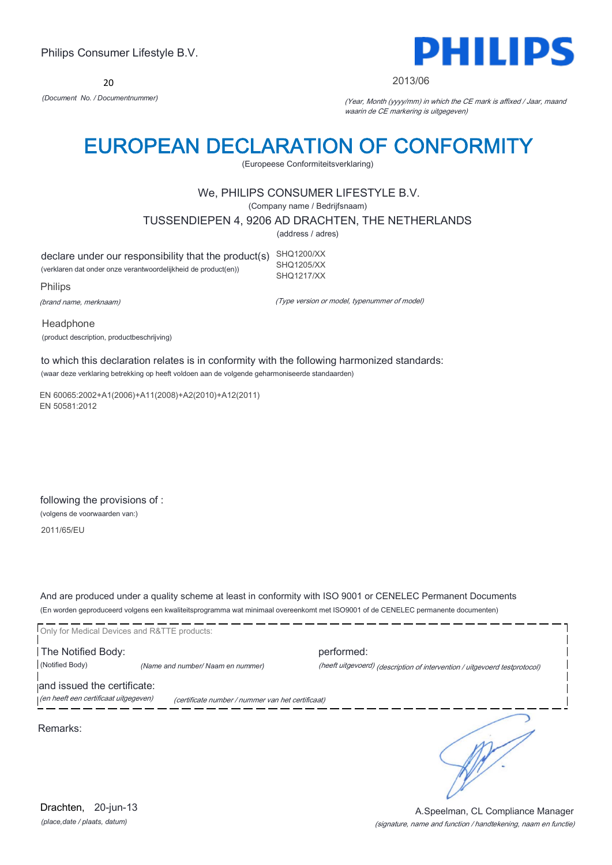20



#### 2013/06

*(Document No. / Documentnummer)* (Year, Month (yyyy/mm) in which the CE mark is affixed / Jaar, maand waarin de CE markering is uitgegeven)

# EUROPEAN DECLARATION OF CONFORMITY

(Europeese Conformiteitsverklaring)

## We, PHILIPS CONSUMER LIFESTYLE B.V.

(Company name / Bedrijfsnaam)

TUSSENDIEPEN 4, 9206 AD DRACHTEN, THE NETHERLANDS

(address / adres)

declare under our responsibility that the product(s) SHQ1200/XX (verklaren dat onder onze verantwoordelijkheid de product(en)) SHQ1205/XX SHQ1217/XX

Philips

(brand name, merknaam)

(Type version or model, typenummer of model)

Headphone (product description, productbeschrijving)

to which this declaration relates is in conformity with the following harmonized standards: (waar deze verklaring betrekking op heeft voldoen aan de volgende geharmoniseerde standaarden)

EN 60065:2002+A1(2006)+A11(2008)+A2(2010)+A12(2011) EN 50581:2012

following the provisions of : (volgens de voorwaarden van:)

2011/65/EU

And are produced under a quality scheme at least in conformity with ISO 9001 or CENELEC Permanent Documents (En worden geproduceerd volgens een kwaliteitsprogramma wat minimaal overeenkomt met ISO9001 of de CENELEC permanente documenten)

Only for Medical Devices and R&TTE products: The Notified Body: performed: (Notified Body) *(Name and number/ Naam en nummer)* (heeft uitgevoerd) (description of intervention / uitgevoerd testprotocol) and issued the certificate: (en heeft een certificaat uitgegeven) (certificate number / nummer van het certificaat)

Remarks:

٦

*(place,date / plaats, datum)* Drachten, 20-jun-13

#### (signature, name and function / handtekening, naam en functie) A.Speelman, CL Compliance Manager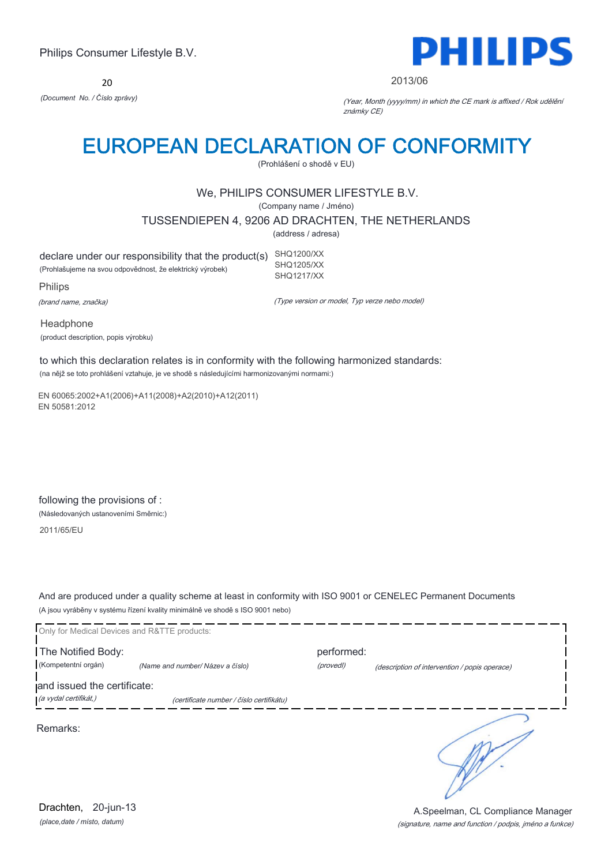20



#### 2013/06

*(Document No. / Číslo zprávy)* (Year, Month (yyyy/mm) in which the CE mark is affixed / Rok udělění známky CE)

# EUROPEAN DECLARATION OF CONFORMITY

(Prohlášení o shodě v EU)

## We, PHILIPS CONSUMER LIFESTYLE B.V.

(Company name / Jméno)

TUSSENDIEPEN 4, 9206 AD DRACHTEN, THE NETHERLANDS

(address / adresa)

declare under our responsibility that the product(s) SHQ1200/XX (Prohlašujeme na svou odpovědnost, že elektrický výrobek) SHQ1205/XX SHQ1217/XX

Philips

(brand name, značka)

(Type version or model, Typ verze nebo model)

Headphone (product description, popis výrobku)

to which this declaration relates is in conformity with the following harmonized standards: (na nějž se toto prohlášení vztahuje, je ve shodě s následujícími harmonizovanými normami:)

EN 60065:2002+A1(2006)+A11(2008)+A2(2010)+A12(2011) EN 50581:2012

following the provisions of : (Následovaných ustanoveními Směrnic:)

2011/65/EU

And are produced under a quality scheme at least in conformity with ISO 9001 or CENELEC Permanent Documents (A jsou vyráběny v systému řízení kvality minimálně ve shodě s ISO 9001 nebo)

Only for Medical Devices and R&TTE products: The Notified Body: example and the Notified Body: (Kompetentní orgán) *(Name and number/ Název a číslo)* (provedl) (description of intervention / popis operace) and issued the certificate: (a vydal certifikát,) (certificate number / číslo certifikátu) ℩ Remarks:

*(place,date / místo, datum)* Drachten, 20-jun-13

(signature, name and function / podpis, jméno a funkce) A.Speelman, CL Compliance Manager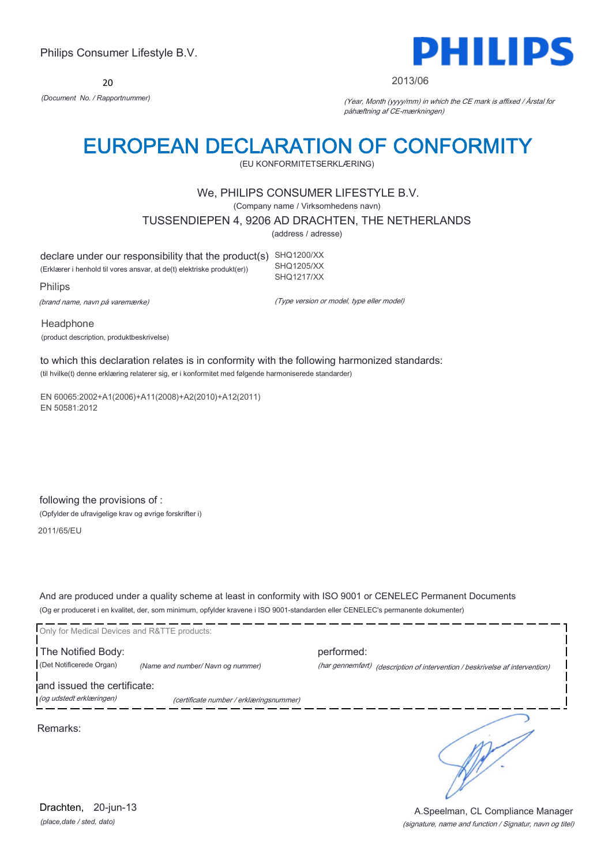20



#### 2013/06

*(Document No. / Rapportnummer)* (Year, Month (yyyy/mm) in which the CE mark is affixed / Årstal for påhæftning af CE-mærkningen)

# EUROPEAN DECLARATION OF CONFORMITY

(EU KONFORMITETSERKLÆRING)

## We, PHILIPS CONSUMER LIFESTYLE B.V.

(Company name / Virksomhedens navn)

TUSSENDIEPEN 4, 9206 AD DRACHTEN, THE NETHERLANDS

(address / adresse)

declare under our responsibility that the product(s) SHQ1200/XX (Erklærer i henhold til vores ansvar, at de(t) elektriske produkt(er)) SHQ1205/XX SHQ1217/XX

Philips

(brand name, navn på varemærke)

(Type version or model, type eller model)

Headphone (product description, produktbeskrivelse)

to which this declaration relates is in conformity with the following harmonized standards: (til hvilke(t) denne erklæring relaterer sig, er i konformitet med følgende harmoniserede standarder)

EN 60065:2002+A1(2006)+A11(2008)+A2(2010)+A12(2011) EN 50581:2012

following the provisions of : (Opfylder de ufravigelige krav og øvrige forskrifter i)

2011/65/EU

And are produced under a quality scheme at least in conformity with ISO 9001 or CENELEC Permanent Documents (Og er produceret i en kvalitet, der, som minimum, opfylder kravene i ISO 9001-standarden eller CENELEC's permanente dokumenter)

Only for Medical Devices and R&TTE products: The Notified Body: performed: (Det Notificerede Organ) *(Name and number/ Navn og nummer)* (har gennemført) (description of intervention / beskrivelse af intervention) and issued the certificate: (og udstedt erklæringen) (certificate number / erklæringsnummer) ٦

Remarks:

*(place,date / sted, dato)* Drachten, 20-jun-13

(signature, name and function / Signatur, navn og titel) A.Speelman, CL Compliance Manager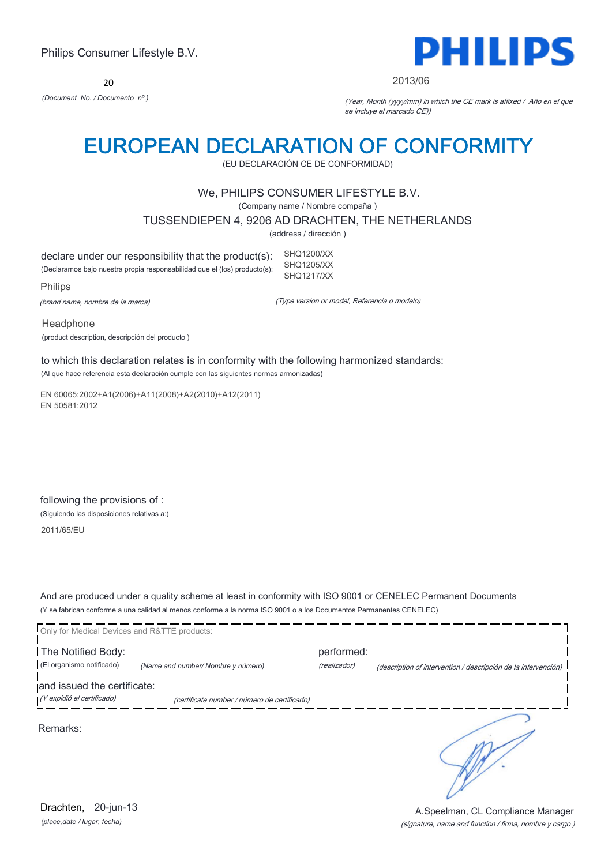20



#### 2013/06

*(Document No. / Documento nº.)* (Year, Month (yyyy/mm) in which the CE mark is affixed / Año en el que se incluye el marcado CE))

# EUROPEAN DECLARATION OF CONFORMITY

(EU DECLARACIÓN CE DE CONFORMIDAD)

### We, PHILIPS CONSUMER LIFESTYLE B.V.

(Company name / Nombre compaña )

TUSSENDIEPEN 4, 9206 AD DRACHTEN, THE NETHERLANDS

(address / dirección )

declare under our responsibility that the product(s): (Declaramos bajo nuestra propia responsabilidad que el (los) producto(s): SHQ1200/XX SHQ1205/XX SHQ1217/XX

Philips

(brand name, nombre de la marca)

(Type version or model, Referencia o modelo)

Headphone (product description, descripción del producto )

to which this declaration relates is in conformity with the following harmonized standards: (Al que hace referencia esta declaración cumple con las siguientes normas armonizadas)

EN 60065:2002+A1(2006)+A11(2008)+A2(2010)+A12(2011) EN 50581:2012

following the provisions of : (Siguiendo las disposiciones relativas a:)

2011/65/EU

And are produced under a quality scheme at least in conformity with ISO 9001 or CENELEC Permanent Documents (Y se fabrican conforme a una calidad al menos conforme a la norma ISO 9001 o a los Documentos Permanentes CENELEC)

| Only for Medical Devices and R&TTE products: |                                              |              |                                                                |
|----------------------------------------------|----------------------------------------------|--------------|----------------------------------------------------------------|
| The Notified Body:                           |                                              | performed:   |                                                                |
| (El organismo notificado)                    | (Name and number/Nombre y número)            | (realizador) | (description of intervention / descripción de la intervención) |
| and issued the certificate:                  |                                              |              |                                                                |
| (Y expidió el certificado)                   | (certificate number / número de certificado) |              |                                                                |
| Remarks:                                     |                                              |              |                                                                |

*(place,date / lugar, fecha)* Drachten, 20-jun-13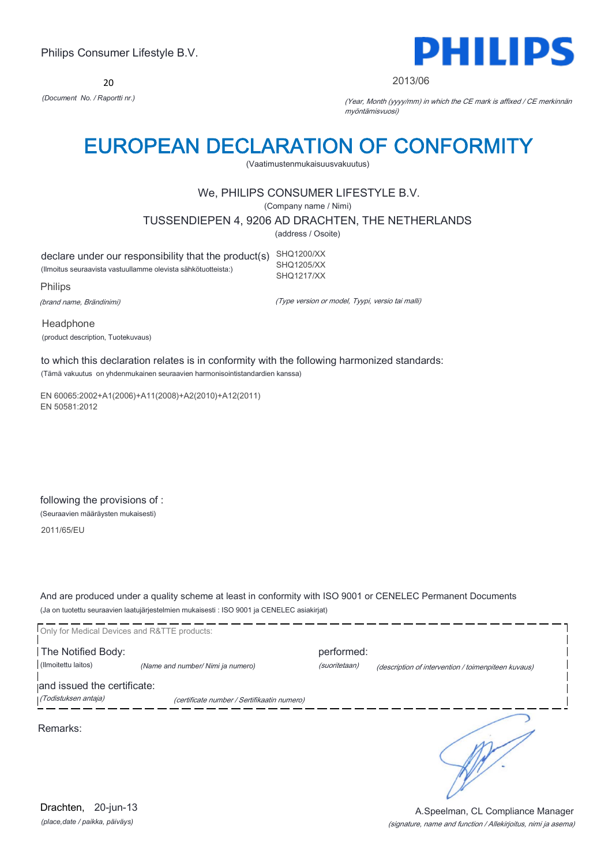20



2013/06

*(Document No. / Raportti nr.)* (Year, Month (yyyy/mm) in which the CE mark is affixed / CE merkinnän myöntämisvuosi)

# EUROPEAN DECLARATION OF CONFORMITY

(Vaatimustenmukaisuusvakuutus)

## We, PHILIPS CONSUMER LIFESTYLE B.V.

(Company name / Nimi)

TUSSENDIEPEN 4, 9206 AD DRACHTEN, THE NETHERLANDS

(address / Osoite)

declare under our responsibility that the product(s) SHQ1200/XX (Ilmoitus seuraavista vastuullamme olevista sähkötuotteista:) SHQ1205/XX SHQ1217/XX

Philips

(brand name, Brändinimi)

(Type version or model, Tyypi, versio tai malli)

Headphone (product description, Tuotekuvaus)

to which this declaration relates is in conformity with the following harmonized standards: (Tämä vakuutus on yhdenmukainen seuraavien harmonisointistandardien kanssa)

EN 60065:2002+A1(2006)+A11(2008)+A2(2010)+A12(2011) EN 50581:2012

following the provisions of : (Seuraavien määräysten mukaisesti)

2011/65/EU

And are produced under a quality scheme at least in conformity with ISO 9001 or CENELEC Permanent Documents (Ja on tuotettu seuraavien laatujärjestelmien mukaisesti : ISO 9001 ja CENELEC asiakirjat)

|                             | Only for Medical Devices and R&TTE products: |               |                                                     |
|-----------------------------|----------------------------------------------|---------------|-----------------------------------------------------|
| The Notified Body:          |                                              | performed:    |                                                     |
| (Ilmoitettu laitos)         | (Name and number/ Nimi ja numero)            | (suoritetaan) | (description of intervention / toimenpiteen kuvaus) |
| and issued the certificate: |                                              |               |                                                     |
| (Todistuksen antaja)        | (certificate number / Sertifikaatin numero)  |               |                                                     |
| Remarks:                    |                                              |               |                                                     |

*(place,date / paikka, päiväys)* Drachten, 20-jun-13

#### (signature, name and function / Allekirjoitus, nimi ja asema) A.Speelman, CL Compliance Manager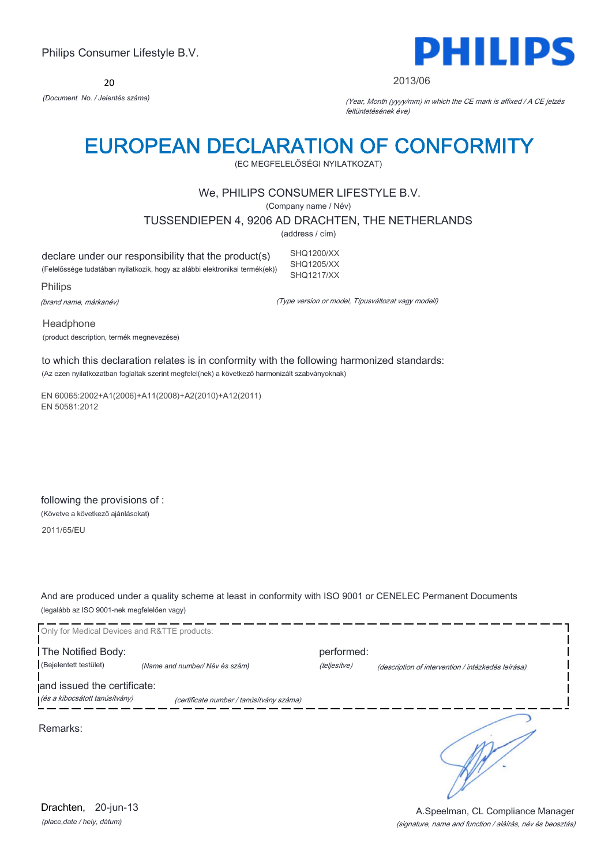20



#### 2013/06

*(Document No. / Jelentés száma)* (Year, Month (yyyy/mm) in which the CE mark is affixed / A CE jelzés feltüntetésének éve)

# EUROPEAN DECLARATION OF CONFORMITY

(EC MEGFELELŐSÉGI NYILATKOZAT)

## We, PHILIPS CONSUMER LIFESTYLE B.V.

(Company name / Név)

TUSSENDIEPEN 4, 9206 AD DRACHTEN, THE NETHERLANDS

(address / cím)

declare under our responsibility that the product(s) (Felelőssége tudatában nyilatkozik, hogy az alábbi elektronikai termék(ek)) SHQ1200/XX SHQ1205/XX SHQ1217/XX

Philips

(brand name, márkanév)

(Type version or model, Típusváltozat vagy modell)

Headphone (product description, termék megnevezése)

to which this declaration relates is in conformity with the following harmonized standards: (Az ezen nyilatkozatban foglaltak szerint megfelel(nek) a következő harmonizált szabványoknak)

EN 60065:2002+A1(2006)+A11(2008)+A2(2010)+A12(2011) EN 50581:2012

following the provisions of : (Követve a következő ajánlásokat)

2011/65/EU

And are produced under a quality scheme at least in conformity with ISO 9001 or CENELEC Permanent Documents (legalább az ISO 9001-nek megfelelően vagy)



*(place,date / hely, dátum)* Drachten, 20-jun-13

(signature, name and function / aláírás, név és beosztás) A.Speelman, CL Compliance Manager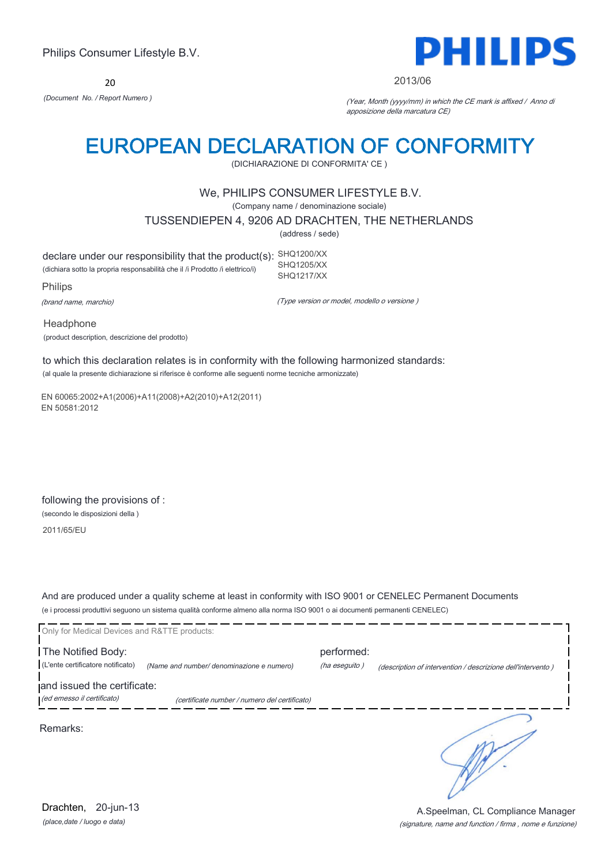20



#### 2013/06

*(Document No. / Report Numero )* (Year, Month (yyyy/mm) in which the CE mark is affixed / Anno di apposizione della marcatura CE)

# EUROPEAN DECLARATION OF CONFORMITY

(DICHIARAZIONE DI CONFORMITA' CE )

## We, PHILIPS CONSUMER LIFESTYLE B.V.

(Company name / denominazione sociale)

TUSSENDIEPEN 4, 9206 AD DRACHTEN, THE NETHERLANDS

(address / sede)

declare under our responsibility that the product(s): SHQ1200/XX (dichiara sotto la propria responsabilità che il /i Prodotto /i elettrico/i) SHQ1205/XX SHQ1217/XX

Philips

(brand name, marchio)

(Type version or model, modello o versione )

Headphone (product description, descrizione del prodotto)

to which this declaration relates is in conformity with the following harmonized standards: (al quale la presente dichiarazione si riferisce è conforme alle seguenti norme tecniche armonizzate)

EN 60065:2002+A1(2006)+A11(2008)+A2(2010)+A12(2011) EN 50581:2012

following the provisions of : (secondo le disposizioni della )

2011/65/EU

And are produced under a quality scheme at least in conformity with ISO 9001 or CENELEC Permanent Documents (e i processi produttivi seguono un sistema qualità conforme almeno alla norma ISO 9001 o ai documenti permanenti CENELEC)

| Only for Medical Devices and R&TTE products: |                                               |               |                                                             |
|----------------------------------------------|-----------------------------------------------|---------------|-------------------------------------------------------------|
| The Notified Body:                           |                                               | performed:    |                                                             |
| (L'ente certificatore notificato)            | (Name and number/ denominazione e numero)     | (ha eseguito) | (description of intervention / descrizione dell'intervento) |
| and issued the certificate:                  |                                               |               |                                                             |
| (ed emesso il certificato)                   | (certificate number / numero del certificato) |               |                                                             |
| Remarks:                                     |                                               |               |                                                             |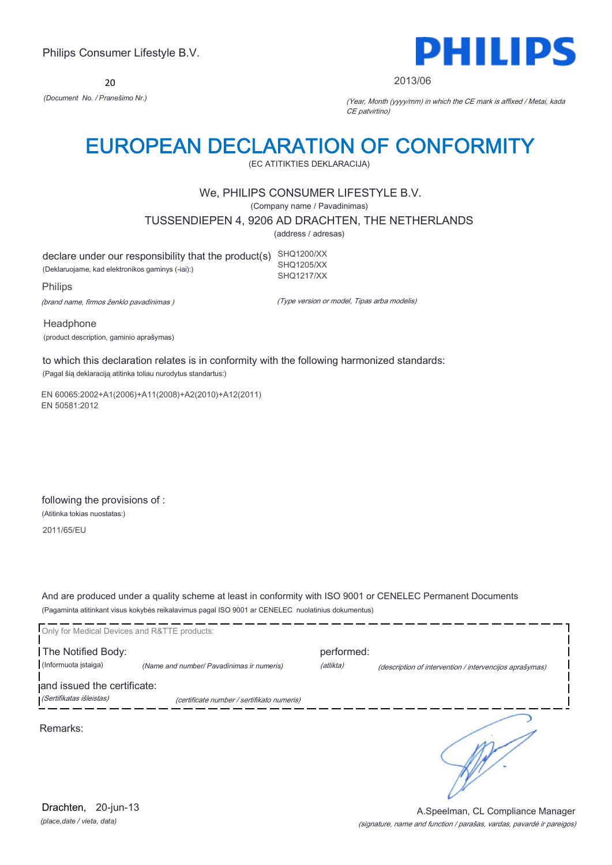20



2013/06

*(Document No. / Pranešimo Nr.)* (Year, Month (yyyy/mm) in which the CE mark is affixed / Metai, kada CE patvirtino)

# EUROPEAN DECLARATION OF CONFORMITY

(EC ATITIKTIES DEKLARACIJA)

### We, PHILIPS CONSUMER LIFESTYLE B.V.

(Company name / Pavadinimas)

TUSSENDIEPEN 4, 9206 AD DRACHTEN, THE NETHERLANDS

(address / adresas)

declare under our responsibility that the product(s) SHQ1200/XX (Deklaruojame, kad elektronikos gaminys (-iai):) SHQ1205/XX SHQ1217/XX

Philips

(brand name, firmos ženklo pavadinimas )

(Type version or model, Tipas arba modelis)

Headphone (product description, gaminio aprašymas)

to which this declaration relates is in conformity with the following harmonized standards: (Pagal šią deklaraciją atitinka toliau nurodytus standartus:)

EN 60065:2002+A1(2006)+A11(2008)+A2(2010)+A12(2011) EN 50581:2012

following the provisions of : (Atitinka tokias nuostatas:)

2011/65/EU

And are produced under a quality scheme at least in conformity with ISO 9001 or CENELEC Permanent Documents (Pagaminta atitinkant visus kokybės reikalavimus pagal ISO 9001 ar CENELEC nuolatinius dokumentus)

| Only for Medical Devices and R&TTE products: |                                            |            |                                                         |
|----------------------------------------------|--------------------------------------------|------------|---------------------------------------------------------|
| The Notified Body:                           |                                            | performed: |                                                         |
| (Informuota istaiga)                         | (Name and number/ Pavadinimas ir numeris)  | (atlikta)  | (description of intervention / intervencijos aprašymas) |
| and issued the certificate:                  |                                            |            |                                                         |
| (Sertifikatas išleistas)                     | (certificate number / sertifikato numeris) |            |                                                         |
| Remarks:                                     |                                            |            |                                                         |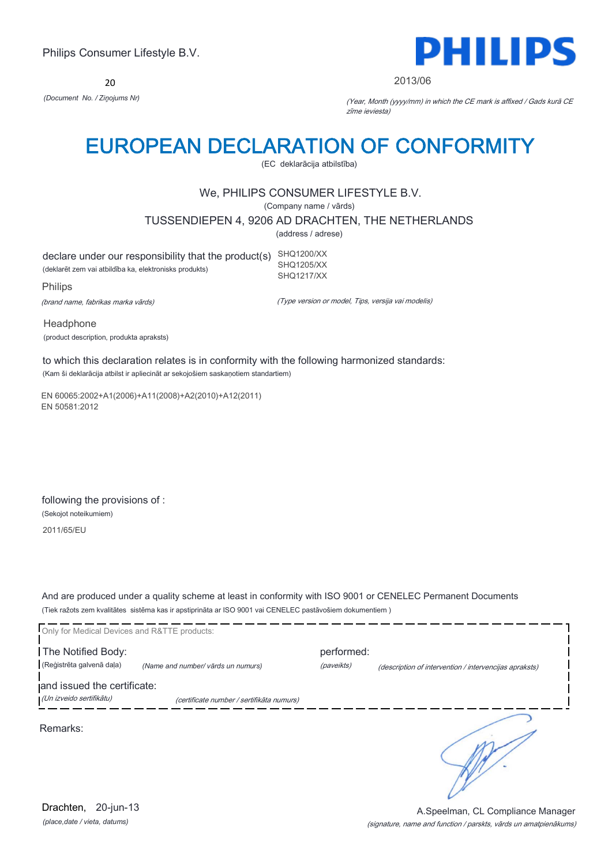20



#### 2013/06

*(Document No. / Ziņojums Nr)* (Year, Month (yyyy/mm) in which the CE mark is affixed / Gads kurā CE zīme ieviesta)

# EUROPEAN DECLARATION OF CONFORMITY

(EC deklarācija atbilstība)

## We, PHILIPS CONSUMER LIFESTYLE B.V.

(Company name / vārds)

TUSSENDIEPEN 4, 9206 AD DRACHTEN, THE NETHERLANDS

(address / adrese)

declare under our responsibility that the product(s) SHQ1200/XX (deklarēt zem vai atbildība ka, elektronisks produkts) SHQ1205/XX SHQ1217/XX

Philips

(brand name, fabrikas marka vārds)

(Type version or model, Tips, versija vai modelis)

Headphone (product description, produkta apraksts)

to which this declaration relates is in conformity with the following harmonized standards: (Kam ši deklarācija atbilst ir apliecināt ar sekojošiem saskaņotiem standartiem)

EN 60065:2002+A1(2006)+A11(2008)+A2(2010)+A12(2011) EN 50581:2012

following the provisions of : (Sekojot noteikumiem) 2011/65/EU

And are produced under a quality scheme at least in conformity with ISO 9001 or CENELEC Permanent Documents (Tiek ražots zem kvalitātes sistēma kas ir apstiprināta ar ISO 9001 vai CENELEC pastāvošiem dokumentiem )

| Only for Medical Devices and R&TTE products: |                                           |            |                                                        |
|----------------------------------------------|-------------------------------------------|------------|--------------------------------------------------------|
| The Notified Body:                           |                                           | performed: |                                                        |
| (Reģistrēta galvenā daļa)                    | (Name and number/ vārds un numurs)        | (paveikts) | (description of intervention / intervencijas apraksts) |
| and issued the certificate:                  |                                           |            |                                                        |
| (Un izveido sertifikātu)                     | (certificate number / sertifikāta numurs) |            |                                                        |
| Remarks:                                     |                                           |            |                                                        |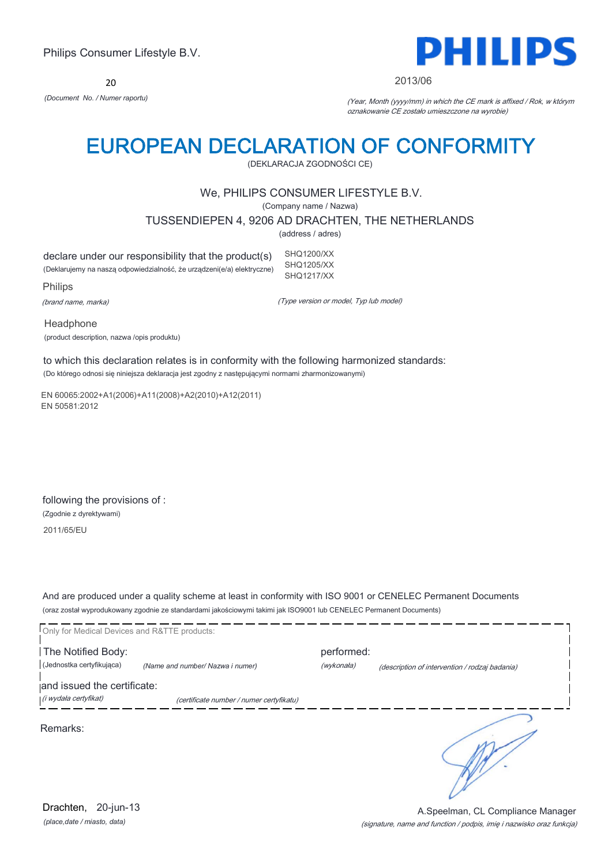20



#### 2013/06

*(Document No. / Numer raportu)* (Year, Month (yyyy/mm) in which the CE mark is affixed / Rok, w którym oznakowanie CE zostało umieszczone na wyrobie)

# EUROPEAN DECLARATION OF CONFORMITY

(DEKLARACJA ZGODNOŚCI CE)

### We, PHILIPS CONSUMER LIFESTYLE B.V.

(Company name / Nazwa)

TUSSENDIEPEN 4, 9206 AD DRACHTEN, THE NETHERLANDS

(address / adres)

declare under our responsibility that the product(s) (Deklarujemy na naszą odpowiedzialność, że urządzeni(e/a) elektryczne) SHQ1200/XX SHQ1205/XX SHQ1217/XX

Philips

(brand name, marka)

(Type version or model, Typ lub model)

Headphone (product description, nazwa /opis produktu)

to which this declaration relates is in conformity with the following harmonized standards: (Do którego odnosi się niniejsza deklaracja jest zgodny z następującymi normami zharmonizowanymi)

EN 60065:2002+A1(2006)+A11(2008)+A2(2010)+A12(2011) EN 50581:2012

following the provisions of : (Zgodnie z dyrektywami) 2011/65/EU

And are produced under a quality scheme at least in conformity with ISO 9001 or CENELEC Permanent Documents (oraz został wyprodukowany zgodnie ze standardami jakościowymi takimi jak ISO9001 lub CENELEC Permanent Documents)

| Only for Medical Devices and R&TTE products: |                                          |            |                                                |
|----------------------------------------------|------------------------------------------|------------|------------------------------------------------|
| The Notified Body:                           |                                          | performed: |                                                |
| (Jednostka certyfikująca)                    | (Name and number/ Nazwa i numer)         | (wykonała) | (description of intervention / rodzaj badania) |
| and issued the certificate:                  |                                          |            |                                                |
| (i wydała certyfikat)                        | (certificate number / numer certyfikatu) |            |                                                |
| Remarks:                                     |                                          |            |                                                |

*(place,date / miasto, data)* Drachten, 20-jun-13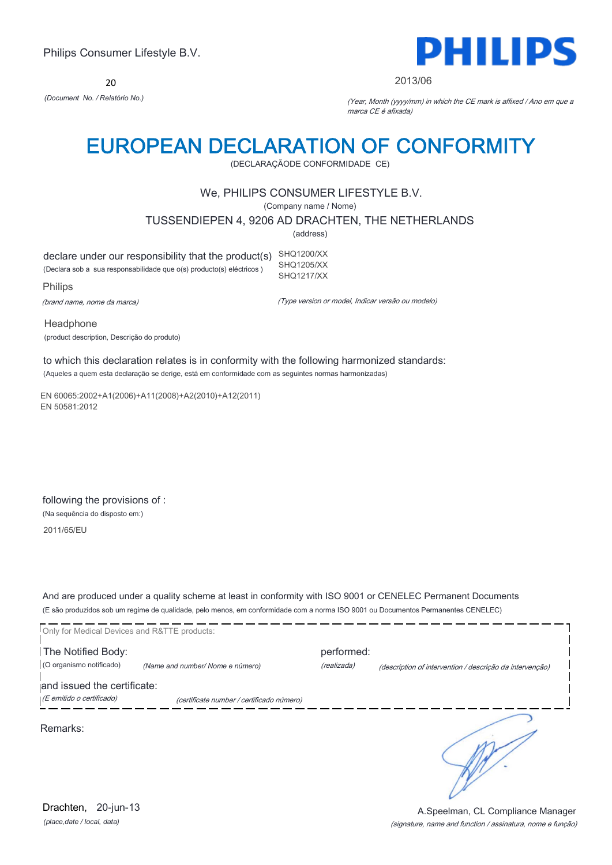20



#### 2013/06

*(Document No. / Relatório No.)* (Year, Month (yyyy/mm) in which the CE mark is affixed / Ano em que a marca CE é afixada)

## EUROPEAN DECLARATION OF CONFORMITY

(DECLARAÇÃODE CONFORMIDADE CE)

## We, PHILIPS CONSUMER LIFESTYLE B.V.

(Company name / Nome)

TUSSENDIEPEN 4, 9206 AD DRACHTEN, THE NETHERLANDS

(address)

declare under our responsibility that the product(s) SHQ1200/XX (Declara sob a sua responsabilidade que o(s) producto(s) eléctricos ) SHQ1205/XX SHQ1217/XX

Philips

(brand name, nome da marca)

(Type version or model, Indicar versão ou modelo)

Headphone (product description, Descrição do produto)

to which this declaration relates is in conformity with the following harmonized standards: (Aqueles a quem esta declaração se derige, está em conformidade com as seguintes normas harmonizadas)

EN 60065:2002+A1(2006)+A11(2008)+A2(2010)+A12(2011) EN 50581:2012

following the provisions of : (Na sequência do disposto em:) 2011/65/EU

And are produced under a quality scheme at least in conformity with ISO 9001 or CENELEC Permanent Documents (E são produzidos sob um regime de qualidade, pelo menos, em conformidade com a norma ISO 9001 ou Documentos Permanentes CENELEC)

| Only for Medical Devices and R&TTE products: |                                           |             |                                                          |
|----------------------------------------------|-------------------------------------------|-------------|----------------------------------------------------------|
| The Notified Body:                           |                                           | performed:  |                                                          |
| (O organismo notificado)                     | (Name and number/Nome e número)           | (realizada) | (description of intervention / descrição da intervenção) |
| and issued the certificate:                  |                                           |             |                                                          |
| (E emitido o certificado)                    | (certificate number / certificado número) |             |                                                          |
| Remarks:                                     |                                           |             |                                                          |

*(place,date / local, data)* Drachten, 20-jun-13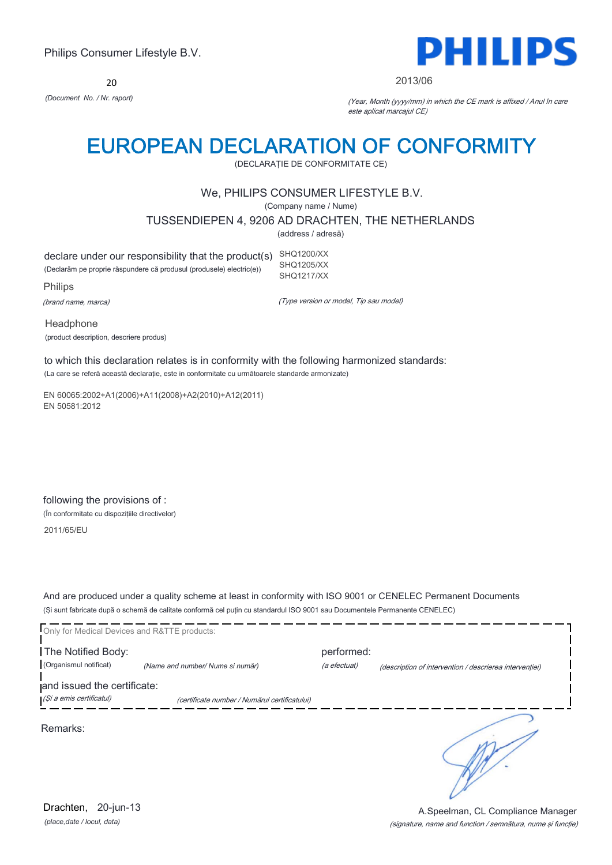20



#### 2013/06

*(Document No. / Nr. raport)* (Year, Month (yyyy/mm) in which the CE mark is affixed / Anul în care este aplicat marcajul CE)

# EUROPEAN DECLARATION OF CONFORMITY

(DECLARAŢIE DE CONFORMITATE CE)

## We, PHILIPS CONSUMER LIFESTYLE B.V.

(Company name / Nume)

TUSSENDIEPEN 4, 9206 AD DRACHTEN, THE NETHERLANDS

(address / adresă)

declare under our responsibility that the product(s) SHQ1200/XX (Declarăm pe proprie răspundere că produsul (produsele) electric(e)) SHQ1205/XX SHQ1217/XX

Philips

(brand name, marca)

(Type version or model, Tip sau model)

Headphone (product description, descriere produs)

to which this declaration relates is in conformity with the following harmonized standards: (La care se referă această declaraţie, este in conformitate cu următoarele standarde armonizate)

EN 60065:2002+A1(2006)+A11(2008)+A2(2010)+A12(2011) EN 50581:2012

following the provisions of : (În conformitate cu dispozițiile directivelor)

2011/65/EU

And are produced under a quality scheme at least in conformity with ISO 9001 or CENELEC Permanent Documents (Şi sunt fabricate după o schemă de calitate conformă cel puţin cu standardul ISO 9001 sau Documentele Permanente CENELEC)

| Only for Medical Devices and R&TTE products: |                                               |              |                                                         |
|----------------------------------------------|-----------------------------------------------|--------------|---------------------------------------------------------|
| The Notified Body:                           |                                               | performed:   |                                                         |
| (Organismul notificat)                       | (Name and number/ Nume si număr)              | (a efectuat) | (description of intervention / descrierea interventiei) |
| and issued the certificate:                  |                                               |              |                                                         |
| (Și a emis certificatul)                     | (certificate number / Numărul certificatului) |              |                                                         |
| Remarks:                                     |                                               |              |                                                         |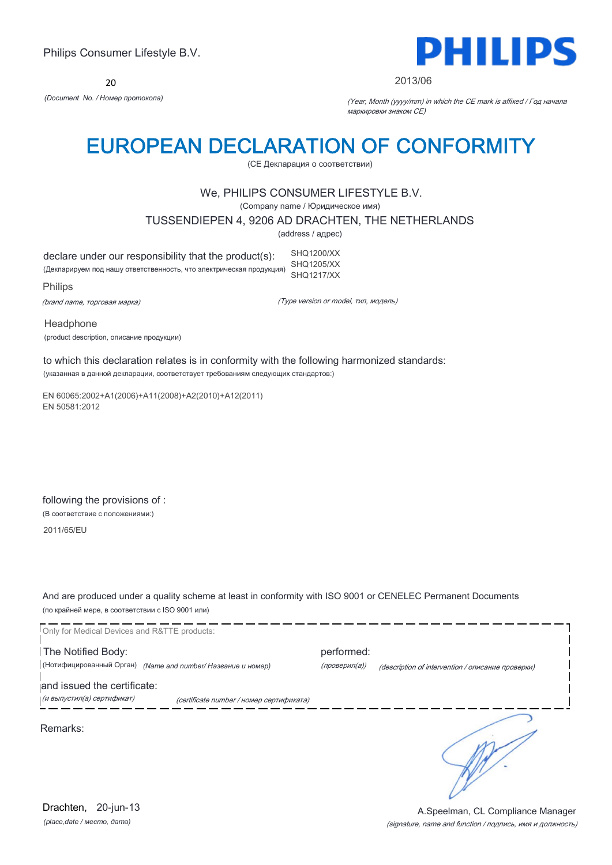20



#### 2013/06

*(Document No. / Номер протокола)* (Year, Month (yyyy/mm) in which the CE mark is affixed / Год начала маркировки знаком CE)

# EUROPEAN DECLARATION OF CONFORMITY

(CE Декларация о соответствии)

## We, PHILIPS CONSUMER LIFESTYLE B.V.

(Company name / Юридическое имя)

TUSSENDIEPEN 4, 9206 AD DRACHTEN, THE NETHERLANDS

(address / адрес)

declare under our responsibility that the product(s): (Декларируем под нашу ответственность, что электрическая продукция) SHQ1200/XX SHQ1205/XX SHQ1217/XX

Philips

(brand name, торговая марка)

(Type version or model, тип, модель)

Headphone (product description, описание продукции)

to which this declaration relates is in conformity with the following harmonized standards: (указанная в данной декларации, соответствует требованиям следующих стандартов:)

EN 60065:2002+A1(2006)+A11(2008)+A2(2010)+A12(2011) EN 50581:2012

following the provisions of : (В соответствие с положениями:)

2011/65/EU

And are produced under a quality scheme at least in conformity with ISO 9001 or CENELEC Permanent Documents (по крайней мере, в соответствии с ISO 9001 или)

Only for Medical Devices and R&TTE products: The Notified Body: performed: (Нотифицированный Орган) *(Name and number/ Название и номер)* (проверил(а)) (description of intervention / описание проверки) and issued the certificate: (и выпустил(а) сертификат) (certificate number / номер сертификата) Remarks:

*(place,date / место, дата)* Drachten, 20-jun-13

#### (signature, name and function / подпись, имя и должность) A.Speelman, CL Compliance Manager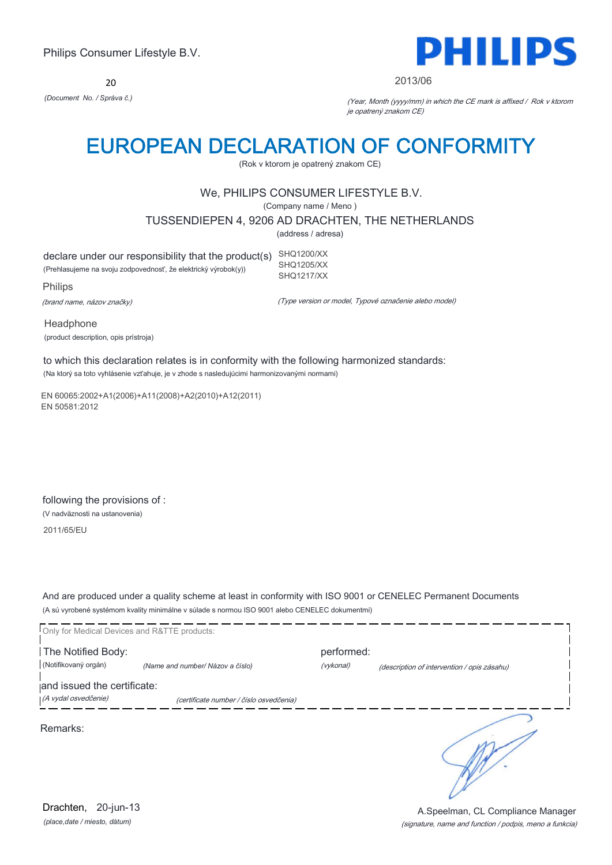20



#### 2013/06

*(Document No. / Správa č.)* (Year, Month (yyyy/mm) in which the CE mark is affixed / Rok v ktorom je opatrený znakom CE)

# EUROPEAN DECLARATION OF CONFORMITY

(Rok v ktorom je opatrený znakom CE)

## We, PHILIPS CONSUMER LIFESTYLE B.V.

(Company name / Meno )

TUSSENDIEPEN 4, 9206 AD DRACHTEN, THE NETHERLANDS

(address / adresa)

declare under our responsibility that the product(s) SHQ1200/XX (Prehlasujeme na svoju zodpovednosť, že elektrický výrobok(y)) SHQ1205/XX SHQ1217/XX

Philips

(brand name, názov značky)

(Type version or model, Typové označenie alebo model)

Headphone (product description, opis prístroja)

to which this declaration relates is in conformity with the following harmonized standards: (Na ktorý sa toto vyhlásenie vzťahuje, je v zhode s nasledujúcimi harmonizovanými normami)

EN 60065:2002+A1(2006)+A11(2008)+A2(2010)+A12(2011) EN 50581:2012

following the provisions of : (V nadväznosti na ustanovenia) 2011/65/EU

And are produced under a quality scheme at least in conformity with ISO 9001 or CENELEC Permanent Documents (A sú vyrobené systémom kvality minimálne v súlade s normou ISO 9001 alebo CENELEC dokumentmi)

| Only for Medical Devices and R&TTE products: |                                         |            |                                             |
|----------------------------------------------|-----------------------------------------|------------|---------------------------------------------|
| The Notified Body:                           |                                         | performed: |                                             |
| (Notifikovaný orgán)                         | (Name and number/ Názov a číslo)        | (vykonal)  | (description of intervention / opis zásahu) |
| and issued the certificate:                  |                                         |            |                                             |
| (A vydal osvedčenie)                         | (certificate number / číslo osvedčenia) |            |                                             |
| Remarks:                                     |                                         |            |                                             |

*(place,date / miesto, dátum)* Drachten, 20-jun-13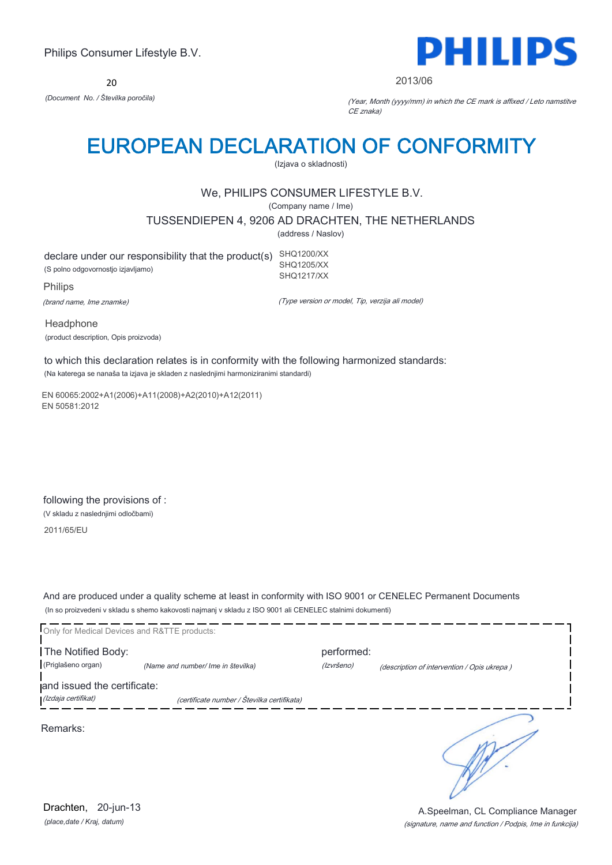20



2013/06

*(Document No. / Številka poročila)* (Year, Month (yyyy/mm) in which the CE mark is affixed / Leto namstitve CE znaka)

# EUROPEAN DECLARATION OF CONFORMITY

(Izjava o skladnosti)

## We, PHILIPS CONSUMER LIFESTYLE B.V.

(Company name / Ime)

TUSSENDIEPEN 4, 9206 AD DRACHTEN, THE NETHERLANDS

(address / Naslov)

declare under our responsibility that the product(s) SHQ1200/XX (S polno odgovornostjo izjavljamo) SHQ1205/XX SHQ1217/XX

Philips (brand name, Ime znamke)

(Type version or model, Tip, verzija ali model)

Headphone (product description, Opis proizvoda)

to which this declaration relates is in conformity with the following harmonized standards: (Na katerega se nanaša ta izjava je skladen z naslednjimi harmoniziranimi standardi)

EN 60065:2002+A1(2006)+A11(2008)+A2(2010)+A12(2011) EN 50581:2012

following the provisions of : (V skladu z naslednjimi odločbami)

2011/65/EU

And are produced under a quality scheme at least in conformity with ISO 9001 or CENELEC Permanent Documents (In so proizvedeni v skladu s shemo kakovosti najmanj v skladu z ISO 9001 ali CENELEC stalnimi dokumenti)

|                             | Only for Medical Devices and R&TTE products: |            |                                             |
|-----------------------------|----------------------------------------------|------------|---------------------------------------------|
| The Notified Body:          |                                              | performed: |                                             |
| (Priglašeno organ)          | (Name and number/ Ime in številka)           | (Izvršeno) | (description of intervention / Opis ukrepa) |
| and issued the certificate: |                                              |            |                                             |
| (Izdaja certifikat)         | (certificate number / Številka certifikata)  |            |                                             |
| Remarks:                    |                                              |            |                                             |

*(place,date / Kraj, datum)* Drachten, 20-jun-13

(signature, name and function / Podpis, Ime in funkcija) A.Speelman, CL Compliance Manager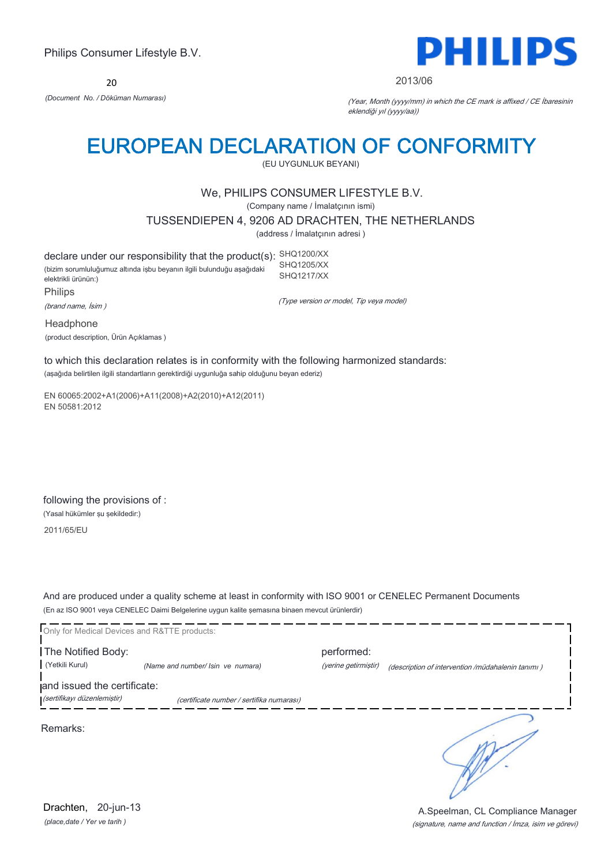20



2013/06

*(Document No. / Döküman Numarası)* (Year, Month (yyyy/mm) in which the CE mark is affixed / CE İbaresinin eklendiği yıl (yyyy/aa))

# EUROPEAN DECLARATION OF CONFORMITY

(EU UYGUNLUK BEYANI)

## We, PHILIPS CONSUMER LIFESTYLE B.V.

(Company name / İmalatçının ismi)

TUSSENDIEPEN 4, 9206 AD DRACHTEN, THE NETHERLANDS

(address / İmalatçının adresi )

declare under our responsibility that the product(s): SHQ1200/XX (bizim sorumluluğumuz altında işbu beyanın ilgili bulunduğu aşağıdaki elektrikli ürünün:) Philips SHQ1205/XX SHQ1217/XX

(brand name, İsim )

(Type version or model, Tip veya model)

Headphone (product description, Ürün Açıklamas )

to which this declaration relates is in conformity with the following harmonized standards: (aşağıda belirtilen ilgili standartların gerektirdiği uygunluğa sahip olduğunu beyan ederiz)

EN 60065:2002+A1(2006)+A11(2008)+A2(2010)+A12(2011) EN 50581:2012

following the provisions of : (Yasal hükümler şu şekildedir:)

2011/65/EU

And are produced under a quality scheme at least in conformity with ISO 9001 or CENELEC Permanent Documents (En az ISO 9001 veya CENELEC Daimi Belgelerine uygun kalite şemasına binaen mevcut ürünlerdir)

Only for Medical Devices and R&TTE products: The Notified Body: performed: (Yetkili Kurul) *(Name and number/ Isin ve numara)* (yerine getirmiştir) (description of intervention /müdahalenin tanımı ) and issued the certificate: (sertifikayı düzenlemiştir) (certificate number / sertifika numarası) Remarks:

*(place,date / Yer ve tarih )* Drachten, 20-jun-13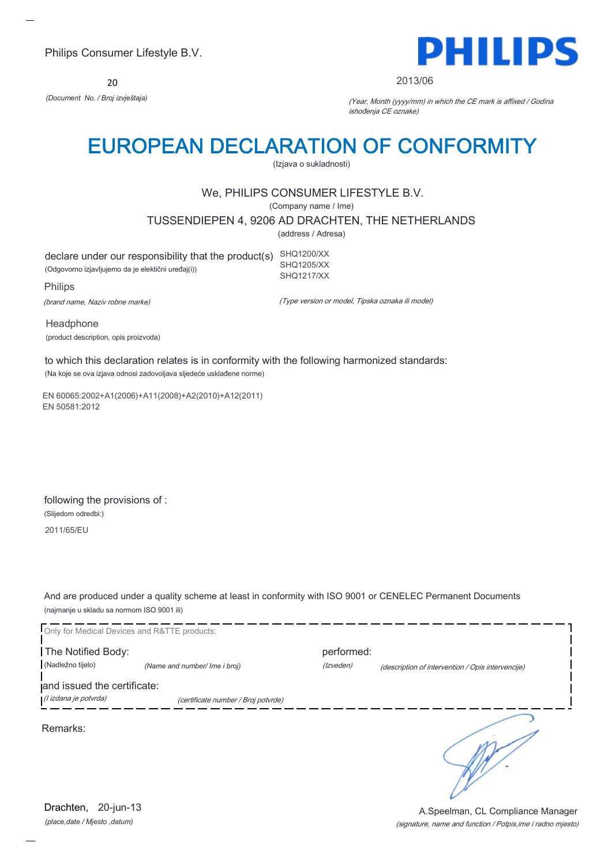20



#### 2013/06

*(Document No. / Broj izvještaja)* (Year, Month (yyyy/mm) in which the CE mark is affixed / Godina ishođenja CE oznake)

# EUROPEAN DECLARATION OF CONFORMITY

(Izjava o sukladnosti)

## We, PHILIPS CONSUMER LIFESTYLE B.V.

(Company name / Ime)

TUSSENDIEPEN 4, 9206 AD DRACHTEN, THE NETHERLANDS

(address / Adresa)

declare under our responsibility that the product(s) SHQ1200/XX (Odgovorno izjavljujemo da je elektični uređaj(i)) SHQ1205/XX SHQ1217/XX

Philips

(brand name, Naziv robne marke)

(Type version or model, Tipska oznaka ili model)

Headphone (product description, opis proizvoda)

to which this declaration relates is in conformity with the following harmonized standards: (Na koje se ova izjava odnosi zadovoljava sljedeće usklađene norme)

EN 60065:2002+A1(2006)+A11(2008)+A2(2010)+A12(2011) EN 50581:2012

following the provisions of : (Slijedom odredbi:) 2011/65/EU

And are produced under a quality scheme at least in conformity with ISO 9001 or CENELEC Permanent Documents (najmanje u skladu sa normom ISO 9001 ili)



*(place,date / Mjesto ,datum)* Drachten, 20-jun-13